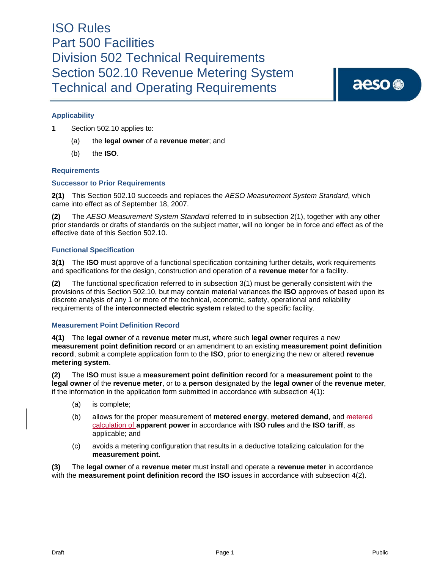aeso<sup>®</sup>

## **Applicability**

**1** Section 502.10 applies to:

- (a) the **legal owner** of a **revenue meter**; and
- (b) the **ISO**.

## **Requirements**

## **Successor to Prior Requirements**

**2(1)** This Section 502.10 succeeds and replaces the *AESO Measurement System Standard*, which came into effect as of September 18, 2007.

**(2)** The *AESO Measurement System Standard* referred to in subsection 2(1), together with any other prior standards or drafts of standards on the subject matter, will no longer be in force and effect as of the effective date of this Section 502.10.

## **Functional Specification**

**3(1)** The **ISO** must approve of a functional specification containing further details, work requirements and specifications for the design, construction and operation of a **revenue meter** for a facility.

**(2)** The functional specification referred to in subsection 3(1) must be generally consistent with the provisions of this Section 502.10, but may contain material variances the **ISO** approves of based upon its discrete analysis of any 1 or more of the technical, economic, safety, operational and reliability requirements of the **interconnected electric system** related to the specific facility.

### **Measurement Point Definition Record**

**4(1)** The **legal owner** of a **revenue meter** must, where such **legal owner** requires a new **measurement point definition record** or an amendment to an existing **measurement point definition record**, submit a complete application form to the **ISO**, prior to energizing the new or altered **revenue metering system**.

**(2)** The **ISO** must issue a **measurement point definition record** for a **measurement point** to the **legal owner** of the **revenue meter**, or to a **person** designated by the **legal owner** of the **revenue meter**, if the information in the application form submitted in accordance with subsection 4(1):

- (a) is complete;
- (b) allows for the proper measurement of **metered energy**, **metered demand**, and metered calculation of **apparent power** in accordance with **ISO rules** and the **ISO tariff**, as applicable; and
- (c) avoids a metering configuration that results in a deductive totalizing calculation for the **measurement point**.

**(3)** The **legal owner** of a **revenue meter** must install and operate a **revenue meter** in accordance with the **measurement point definition record** the **ISO** issues in accordance with subsection 4(2).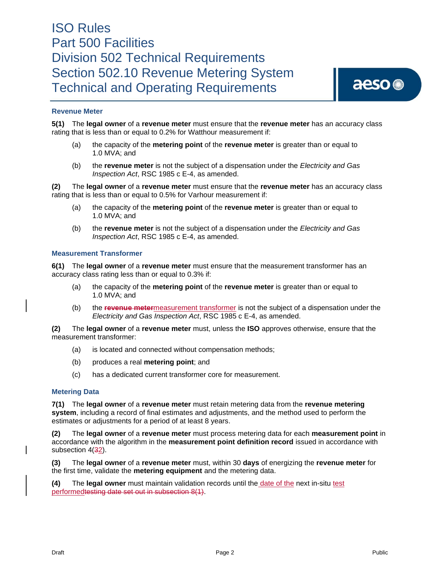

## **Revenue Meter**

**5(1)** The **legal owner** of a **revenue meter** must ensure that the **revenue meter** has an accuracy class rating that is less than or equal to 0.2% for Watthour measurement if:

- (a) the capacity of the **metering point** of the **revenue meter** is greater than or equal to 1.0 MVA; and
- (b) the **revenue meter** is not the subject of a dispensation under the *Electricity and Gas Inspection Act*, RSC 1985 c E-4, as amended.

**(2)** The **legal owner** of a **revenue meter** must ensure that the **revenue meter** has an accuracy class rating that is less than or equal to 0.5% for Varhour measurement if:

- (a) the capacity of the **metering point** of the **revenue meter** is greater than or equal to 1.0 MVA; and
- (b) the **revenue meter** is not the subject of a dispensation under the *Electricity and Gas Inspection Act*, RSC 1985 c E-4, as amended.

#### **Measurement Transformer**

**6(1)** The **legal owner** of a **revenue meter** must ensure that the measurement transformer has an accuracy class rating less than or equal to 0.3% if:

- (a) the capacity of the **metering point** of the **revenue meter** is greater than or equal to 1.0 MVA; and
- (b) the **revenue meter**measurement transformer is not the subject of a dispensation under the *Electricity and Gas Inspection Act*, RSC 1985 c E-4, as amended.

**(2)** The **legal owner** of a **revenue meter** must, unless the **ISO** approves otherwise, ensure that the measurement transformer:

- (a) is located and connected without compensation methods;
- (b) produces a real **metering point**; and
- (c) has a dedicated current transformer core for measurement.

#### **Metering Data**

**7(1)** The **legal owner** of a **revenue meter** must retain metering data from the **revenue metering system**, including a record of final estimates and adjustments, and the method used to perform the estimates or adjustments for a period of at least 8 years.

**(2)** The **legal owner** of a **revenue meter** must process metering data for each **measurement point** in accordance with the algorithm in the **measurement point definition record** issued in accordance with subsection 4(32).

**(3)** The **legal owner** of a **revenue meter** must, within 30 **days** of energizing the **revenue meter** for the first time, validate the **metering equipment** and the metering data.

**(4)** The **legal owner** must maintain validation records until the date of the next in-situ test performedtesting date set out in subsection 8(1).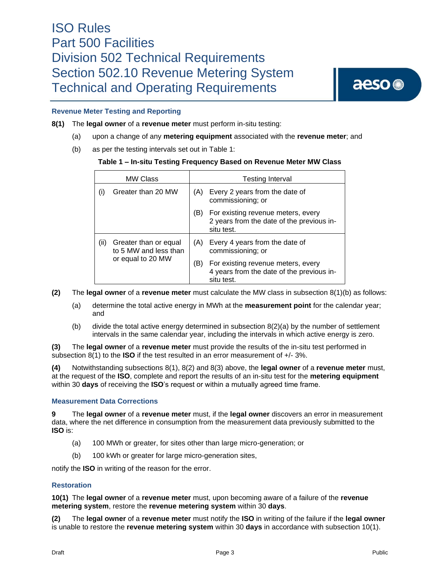

## **Revenue Meter Testing and Reporting**

### **8(1)** The **legal owner** of a **revenue meter** must perform in-situ testing:

- (a) upon a change of any **metering equipment** associated with the **revenue meter**; and
- (b) as per the testing intervals set out in Table 1:

## **Table 1 – In-situ Testing Frequency Based on Revenue Meter MW Class**

| <b>MW Class</b> |                                                                     | <b>Testing Interval</b> |                                                                                               |
|-----------------|---------------------------------------------------------------------|-------------------------|-----------------------------------------------------------------------------------------------|
| (i)             | Greater than 20 MW                                                  | (A)                     | Every 2 years from the date of<br>commissioning; or                                           |
|                 |                                                                     | (B)                     | For existing revenue meters, every<br>2 years from the date of the previous in-<br>situ test. |
| (ii)            | Greater than or equal<br>to 5 MW and less than<br>or equal to 20 MW | (A)                     | Every 4 years from the date of<br>commissioning; or                                           |
|                 |                                                                     | (B)                     | For existing revenue meters, every<br>4 years from the date of the previous in-<br>situ test. |

**(2)** The **legal owner** of a **revenue meter** must calculate the MW class in subsection 8(1)(b) as follows:

- (a) determine the total active energy in MWh at the **measurement point** for the calendar year; and
- (b) divide the total active energy determined in subsection 8(2)(a) by the number of settlement intervals in the same calendar year, including the intervals in which active energy is zero.

**(3)** The **legal owner** of a **revenue meter** must provide the results of the in-situ test performed in subsection 8(1) to the **ISO** if the test resulted in an error measurement of +/- 3%.

**(4)** Notwithstanding subsections 8(1), 8(2) and 8(3) above, the **legal owner** of a **revenue meter** must, at the request of the **ISO**, complete and report the results of an in-situ test for the **metering equipment** within 30 **days** of receiving the **ISO**'s request or within a mutually agreed time frame.

### **Measurement Data Corrections**

**9** The **legal owner** of a **revenue meter** must, if the **legal owner** discovers an error in measurement data, where the net difference in consumption from the measurement data previously submitted to the **ISO** is:

- (a) 100 MWh or greater, for sites other than large micro-generation; or
- (b) 100 kWh or greater for large micro-generation sites,

notify the **ISO** in writing of the reason for the error.

### **Restoration**

**10(1)** The **legal owner** of a **revenue meter** must, upon becoming aware of a failure of the **revenue metering system**, restore the **revenue metering system** within 30 **days**.

**(2)** The **legal owner** of a **revenue meter** must notify the **ISO** in writing of the failure if the **legal owner** is unable to restore the **revenue metering system** within 30 **days** in accordance with subsection 10(1).